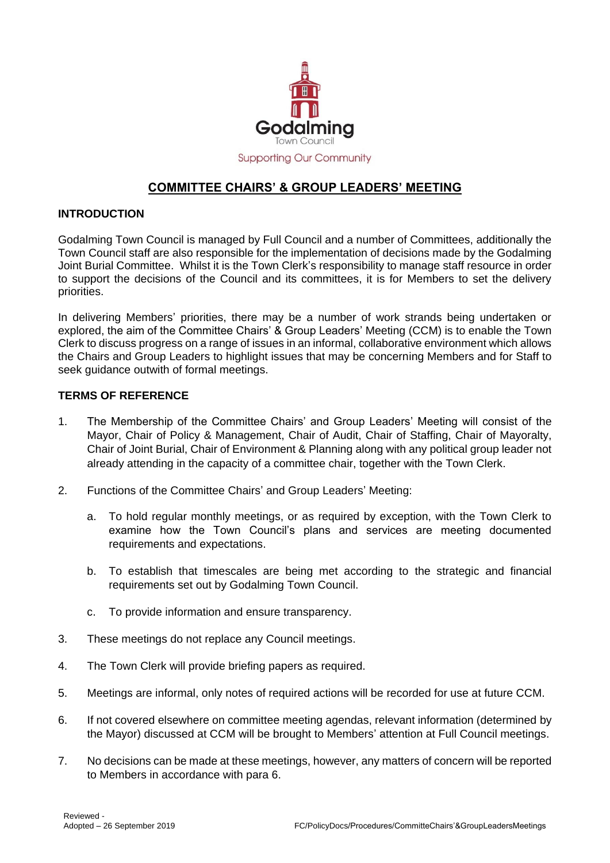

## **COMMITTEE CHAIRS' & GROUP LEADERS' MEETING**

## **INTRODUCTION**

Godalming Town Council is managed by Full Council and a number of Committees, additionally the Town Council staff are also responsible for the implementation of decisions made by the Godalming Joint Burial Committee. Whilst it is the Town Clerk's responsibility to manage staff resource in order to support the decisions of the Council and its committees, it is for Members to set the delivery priorities.

In delivering Members' priorities, there may be a number of work strands being undertaken or explored, the aim of the Committee Chairs' & Group Leaders' Meeting (CCM) is to enable the Town Clerk to discuss progress on a range of issues in an informal, collaborative environment which allows the Chairs and Group Leaders to highlight issues that may be concerning Members and for Staff to seek guidance outwith of formal meetings.

## **TERMS OF REFERENCE**

- 1. The Membership of the Committee Chairs' and Group Leaders' Meeting will consist of the Mayor, Chair of Policy & Management, Chair of Audit, Chair of Staffing, Chair of Mayoralty, Chair of Joint Burial, Chair of Environment & Planning along with any political group leader not already attending in the capacity of a committee chair, together with the Town Clerk.
- 2. Functions of the Committee Chairs' and Group Leaders' Meeting:
	- a. To hold regular monthly meetings, or as required by exception, with the Town Clerk to examine how the Town Council's plans and services are meeting documented requirements and expectations.
	- b. To establish that timescales are being met according to the strategic and financial requirements set out by Godalming Town Council.
	- c. To provide information and ensure transparency.
- 3. These meetings do not replace any Council meetings.
- 4. The Town Clerk will provide briefing papers as required.
- 5. Meetings are informal, only notes of required actions will be recorded for use at future CCM.
- 6. If not covered elsewhere on committee meeting agendas, relevant information (determined by the Mayor) discussed at CCM will be brought to Members' attention at Full Council meetings.
- 7. No decisions can be made at these meetings, however, any matters of concern will be reported to Members in accordance with para 6.